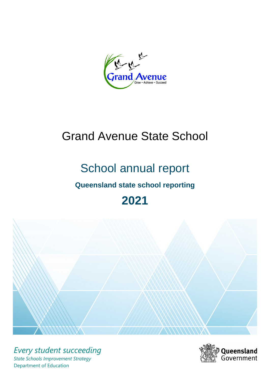Grand Avenue Succeed

# Grand Avenue State School

# School annual report

# **Queensland state school reporting**

# **2021**



*Every student succeeding State Schools Improvement Strategy* Department of Education

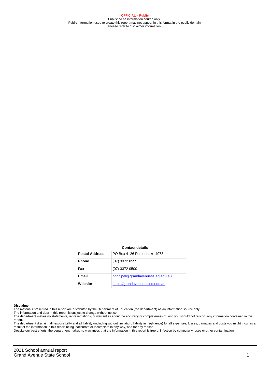**OFFICIAL – Public** Published as information source only. Public information used to create this report may not appear in this format in the public domain Please refer to disclaimer information.

#### **Contact details**

| <b>Postal Address</b> | PO Box 4126 Forest Lake 4078      |
|-----------------------|-----------------------------------|
| <b>Phone</b>          | $(07)$ 3372 0555                  |
| Fax                   | (07) 3372 0500                    |
| <b>Email</b>          | principal@grandavenuess.eg.edu.au |
| Website               | https://grandavenuess.eg.edu.au   |

#### **Disclaimer**

The materials presented in this report are distributed by the Department of Education (the department) as an information source only.

The information and data in this report is subject to change without notice.<br>The department makes no statements, representations, or warranties about the accuracy or completeness of, and you should not rely on, any informa report.

The department disclaim all responsibility and all liability (including without limitation, liability in negligence) for all expenses, losses, damages and costs you might incur as a result of the information in this report being inaccurate or incomplete in any way, and for any reason.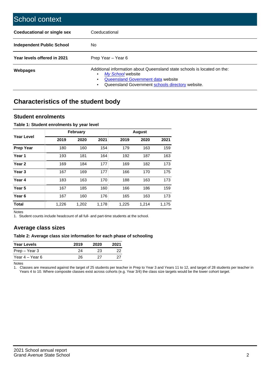| School context                   |                                                                                                                                                                                              |
|----------------------------------|----------------------------------------------------------------------------------------------------------------------------------------------------------------------------------------------|
| Coeducational or single sex      | Coeducational                                                                                                                                                                                |
| <b>Independent Public School</b> | No.                                                                                                                                                                                          |
| Year levels offered in 2021      | Prep Year - Year 6                                                                                                                                                                           |
| Webpages                         | Additional information about Queensland state schools is located on the:<br>My School website<br>Queensland Government data website<br>Queensland Government schools directory website.<br>٠ |

# **Characteristics of the student body**

### **Student enrolments**

#### **Table 1: Student enrolments by year level**

|                   |       | <b>February</b> |       |       | <b>August</b> |       |
|-------------------|-------|-----------------|-------|-------|---------------|-------|
| Year Level        | 2019  | 2020            | 2021  | 2019  | 2020          | 2021  |
| <b>Prep Year</b>  | 180   | 160             | 154   | 179   | 163           | 159   |
| Year <sub>1</sub> | 193   | 181             | 164   | 192   | 187           | 163   |
| Year <sub>2</sub> | 169   | 184             | 177   | 169   | 182           | 173   |
| Year <sub>3</sub> | 167   | 169             | 177   | 166   | 170           | 175   |
| Year 4            | 183   | 163             | 170   | 188   | 163           | 173   |
| Year 5            | 167   | 185             | 160   | 166   | 186           | 159   |
| Year <sub>6</sub> | 167   | 160             | 176   | 165   | 163           | 173   |
| <b>Total</b>      | 1,226 | 1,202           | 1,178 | 1,225 | 1,214         | 1,175 |

Notes

1. Student counts include headcount of all full- and part-time students at the school.

## **Average class sizes**

#### **Table 2: Average class size information for each phase of schooling**

| <b>Year Levels</b> | 2019 | 2020 | 2021 |
|--------------------|------|------|------|
| Prep – Year 3      | 24   | 23   | 22   |
| Year 4 – Year 6    | 26   | ソフ   | クフ   |

Notes

1. Classes are measured against the target of 25 students per teacher in Prep to Year 3 and Years 11 to 12, and target of 28 students per teacher in Years 4 to 10. Where composite classes exist across cohorts (e.g. Year 3/4) the class size targets would be the lower cohort target.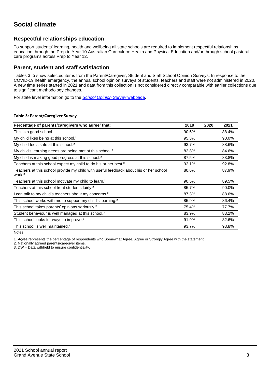## **Respectful relationships education**

To support students' learning, health and wellbeing all state schools are required to implement respectful relationships education through the Prep to Year 10 Australian Curriculum: Health and Physical Education and/or through school pastoral care programs across Prep to Year 12.

### **Parent, student and staff satisfaction**

Tables 3–5 show selected items from the Parent/Caregiver, Student and Staff School Opinion Surveys. In response to the COVID-19 health emergency, the annual school opinion surveys of students, teachers and staff were not administered in 2020. A new time series started in 2021 and data from this collection is not considered directly comparable with earlier collections due to significant methodology changes.

For state level information go to the **[School Opinion Survey](https://qed.qld.gov.au/publications/reports/statistics/schooling/schools/schoolopinionsurvey) webpage**.

#### **Table 3: Parent/Caregiver Survey**

| Percentage of parents/caregivers who agree <sup>1</sup> that:                                               | 2019  | 2020 | 2021  |
|-------------------------------------------------------------------------------------------------------------|-------|------|-------|
| This is a good school.                                                                                      | 90.6% |      | 88.4% |
| My child likes being at this school. <sup>2</sup>                                                           | 95.3% |      | 90.0% |
| My child feels safe at this school. <sup>2</sup>                                                            | 93.7% |      | 88.6% |
| My child's learning needs are being met at this school. <sup>2</sup>                                        | 82.8% |      | 84.6% |
| My child is making good progress at this school. <sup>2</sup>                                               | 87.5% |      | 83.8% |
| Teachers at this school expect my child to do his or her best. <sup>2</sup>                                 | 92.1% |      | 92.8% |
| Teachers at this school provide my child with useful feedback about his or her school<br>work. <sup>2</sup> | 80.6% |      | 87.9% |
| Teachers at this school motivate my child to learn. <sup>2</sup>                                            | 90.5% |      | 89.5% |
| Teachers at this school treat students fairly. <sup>2</sup>                                                 | 85.7% |      | 90.0% |
| can talk to my child's teachers about my concerns. <sup>2</sup>                                             | 87.3% |      | 88.6% |
| This school works with me to support my child's learning. <sup>2</sup>                                      | 85.9% |      | 86.4% |
| This school takes parents' opinions seriously. <sup>2</sup>                                                 | 75.4% |      | 77.7% |
| Student behaviour is well managed at this school. <sup>2</sup>                                              | 83.9% |      | 83.2% |
| This school looks for ways to improve. <sup>2</sup>                                                         | 91.9% |      | 82.6% |
| This school is well maintained. <sup>2</sup>                                                                | 93.7% |      | 93.8% |

Notes

1. Agree represents the percentage of respondents who Somewhat Agree, Agree or Strongly Agree with the statement.

2. Nationally agreed parents/caregiver items.

3. DW = Data withheld to ensure confidentiality.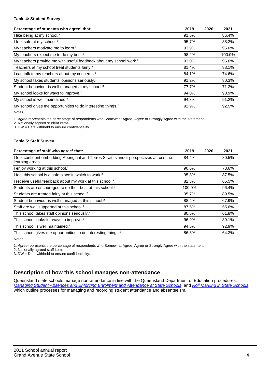#### **Table 4: Student Survey**

| Percentage of students who agree <sup>1</sup> that:                            | 2019  | 2020 | 2021   |
|--------------------------------------------------------------------------------|-------|------|--------|
| I like being at my school. <sup>2</sup>                                        | 91.5% |      | 86.4%  |
| I feel safe at my school. <sup>2</sup>                                         | 95.7% |      | 88.2%  |
| My teachers motivate me to learn. <sup>2</sup>                                 | 93.9% |      | 95.6%  |
| My teachers expect me to do my best. <sup>2</sup>                              | 98.2% |      | 100.0% |
| My teachers provide me with useful feedback about my school work. <sup>2</sup> | 93.0% |      | 95.6%  |
| Teachers at my school treat students fairly. <sup>2</sup>                      | 81.4% |      | 88.1%  |
| I can talk to my teachers about my concerns. <sup>2</sup>                      | 84.1% |      | 74.6%  |
| My school takes students' opinions seriously. <sup>2</sup>                     | 91.2% |      | 80.3%  |
| Student behaviour is well managed at my school. <sup>2</sup>                   | 77.7% |      | 71.2%  |
| My school looks for ways to improve. <sup>2</sup>                              | 94.0% |      | 90.9%  |
| My school is well maintained. <sup>2</sup>                                     | 94.8% |      | 91.2%  |
| My school gives me opportunities to do interesting things. <sup>2</sup>        | 92.9% |      | 92.5%  |

Notes

1. Agree represents the percentage of respondents who Somewhat Agree, Agree or Strongly Agree with the statement.

2. Nationally agreed student items.

3. DW = Data withheld to ensure confidentiality.

#### **Table 5: Staff Survey**

| Percentage of staff who agree <sup>1</sup> that:                                                            | 2019   | 2020 | 2021  |
|-------------------------------------------------------------------------------------------------------------|--------|------|-------|
| I feel confident embedding Aboriginal and Torres Strait Islander perspectives across the<br>learning areas. | 84.4%  |      | 80.5% |
| I enjoy working at this school. <sup>2</sup>                                                                | 90.6%  |      | 78.6% |
| I feel this school is a safe place in which to work. <sup>2</sup>                                           | 95.8%  |      | 87.5% |
| I receive useful feedback about my work at this school. <sup>2</sup>                                        | 82.3%  |      | 65.5% |
| Students are encouraged to do their best at this school. <sup>2</sup>                                       | 100.0% |      | 96.4% |
| Students are treated fairly at this school. <sup>2</sup>                                                    | 95.7%  |      | 89.5% |
| Student behaviour is well managed at this school. <sup>2</sup>                                              | 88.4%  |      | 67.9% |
| Staff are well supported at this school. <sup>2</sup>                                                       | 87.5%  |      | 55.6% |
| This school takes staff opinions seriously. <sup>2</sup>                                                    | 80.6%  |      | 61.8% |
| This school looks for ways to improve. <sup>2</sup>                                                         | 96.9%  |      | 89.1% |
| This school is well maintained. <sup>2</sup>                                                                | 94.6%  |      | 92.9% |
| This school gives me opportunities to do interesting things. <sup>2</sup>                                   | 86.3%  |      | 64.2% |

Notes

1. Agree represents the percentage of respondents who Somewhat Agree, Agree or Strongly Agree with the statement.

2. Nationally agreed staff items.

3. DW = Data withheld to ensure confidentiality.

## **Description of how this school manages non-attendance**

Queensland state schools manage non-attendance in line with the Queensland Department of Education procedures: [Managing Student Absences and Enforcing Enrolment and Attendance at State Schools](https://ppr.qed.qld.gov.au/pp/managing-student-absences-and-enforcing-enrolment-and-attendance-at-state-schools-procedure); and [Roll Marking in State Schools,](https://ppr.qed.qld.gov.au/pp/roll-marking-in-state-schools-procedure) which outline processes for managing and recording student attendance and absenteeism.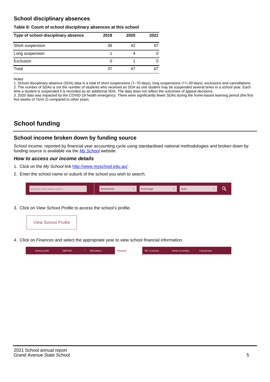## **School disciplinary absences**

#### **Table 6: Count of school disciplinary absences at this school**

| Type of school disciplinary absence | 2019 | 2020 | 2021 |
|-------------------------------------|------|------|------|
| Short suspension                    | 36   | 42   | 67   |
| Long suspension                     |      |      |      |
| Exclusion                           | O    |      |      |
| Total                               | 37   |      | 67   |

Notes

1. School disciplinary absence (SDA) data is a total of short suspensions (1–10 days), long suspensions (11–20 days), exclusions and cancellations. 2. The number of SDAs is not the number of students who received an SDA as one student may be suspended several times in a school year. Each time a student is suspended it is recorded as an additional SDA. The data does not reflect the outcomes of appeal decisions.

3. 2020 data was impacted by the COVID-19 health emergency. There were significantly fewer SDAs during the home-based learning period (the first five weeks of Term 2) compared to other years.

# **School funding**

## **School income broken down by funding source**

School income, reported by financial year accounting cycle using standardised national methodologies and broken down by funding source is available via the  $My$  School website.

#### **How to access our income details**

- 1. Click on the My School link <http://www.myschool.edu.au/>.
- 2. Enter the school name or suburb of the school you wish to search.

|--|

3. Click on View School Profile to access the school's profile.



4. Click on Finances and select the appropriate year to view school financial information.

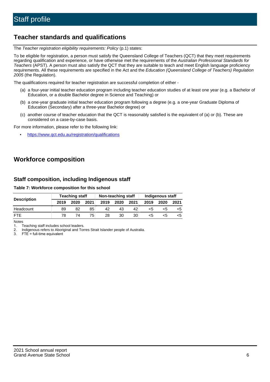# **Teacher standards and qualifications**

The Teacher registration eligibility requirements: Policy (p.1) states:

To be eligible for registration, a person must satisfy the Queensland College of Teachers (QCT) that they meet requirements regarding qualification and experience, or have otherwise met the requirements of the Australian Professional Standards for Teachers (APST). A person must also satisfy the QCT that they are suitable to teach and meet English language proficiency requirements. All these requirements are specified in the Act and the Education (Queensland College of Teachers) Regulation 2005 (the Regulation).

The qualifications required for teacher registration are successful completion of either -

- (a) a four-year initial teacher education program including teacher education studies of at least one year (e.g. a Bachelor of Education, or a double Bachelor degree in Science and Teaching) or
- (b) a one-year graduate initial teacher education program following a degree (e.g. a one-year Graduate Diploma of Education (Secondary) after a three-year Bachelor degree) or
- (c) another course of teacher education that the QCT is reasonably satisfied is the equivalent of (a) or (b). These are considered on a case-by-case basis.

For more information, please refer to the following link:

• <https://www.qct.edu.au/registration/qualifications>

# **Workforce composition**

## **Staff composition, including Indigenous staff**

#### **Table 7: Workforce composition for this school**

|                    | <b>Teaching staff</b> |      | Non-teaching staff |      | Indigenous staff |      |      |      |      |
|--------------------|-----------------------|------|--------------------|------|------------------|------|------|------|------|
| <b>Description</b> | 2019                  | 2020 | 2021               | 2019 | 2020             | 2021 | 2019 | 2020 | 2021 |
| Headcount          | 89                    | 82   | 85                 | 42   | 43               | 42   | <5   | <5   |      |
| <b>FTF</b>         | 78                    | 74   | 75.                | 28   | 30               | 30   | <5   | ה>   |      |

Notes

1. Teaching staff includes school leaders.

2. Indigenous refers to Aboriginal and Torres Strait Islander people of Australia.

3. FTE = full-time equivalent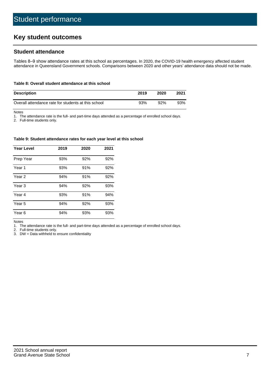# **Key student outcomes**

## **Student attendance**

Tables 8–9 show attendance rates at this school as percentages. In 2020, the COVID-19 health emergency affected student attendance in Queensland Government schools. Comparisons between 2020 and other years' attendance data should not be made.

#### **Table 8: Overall student attendance at this school**

| <b>Description</b>                                  | 2019 | 2020 | 2021 |
|-----------------------------------------------------|------|------|------|
| Overall attendance rate for students at this school | 93%  | 92%  | 93%  |

Notes

1. The attendance rate is the full- and part-time days attended as a percentage of enrolled school days.

2. Full-time students only.

#### **Table 9: Student attendance rates for each year level at this school**

| <b>Year Level</b> | 2019 | 2020 | 2021 |
|-------------------|------|------|------|
| Prep Year         | 93%  | 92%  | 92%  |
| Year <sub>1</sub> | 93%  | 91%  | 92%  |
| Year 2            | 94%  | 91%  | 92%  |
| Year 3            | 94%  | 92%  | 93%  |
| Year 4            | 93%  | 91%  | 94%  |
| Year 5            | 94%  | 92%  | 93%  |
| Year <sub>6</sub> | 94%  | 93%  | 93%  |

Notes

1. The attendance rate is the full- and part-time days attended as a percentage of enrolled school days.

2. Full-time students only.

3. DW = Data withheld to ensure confidentiality